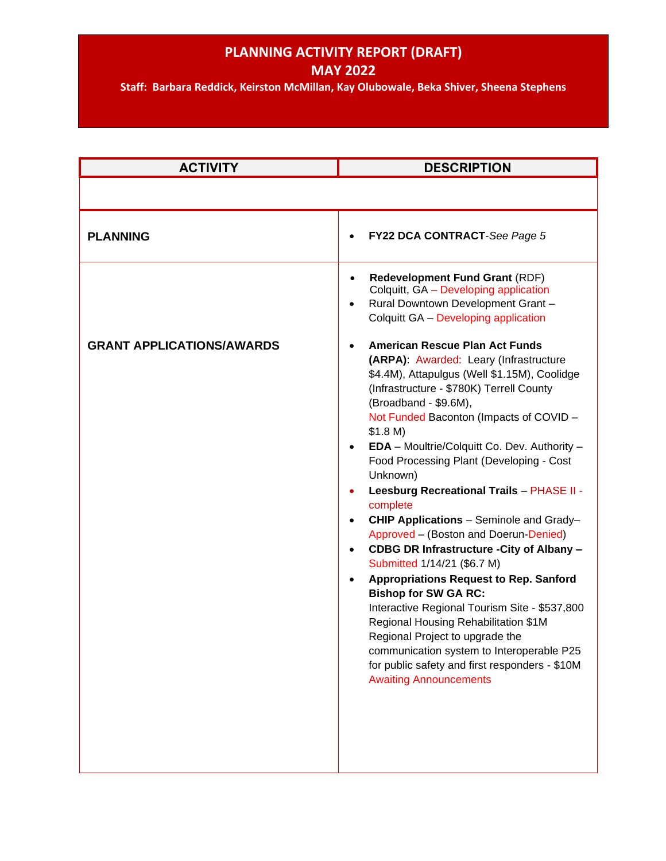# **PLANNING ACTIVITY REPORT (DRAFT)**

**MAY 2022**

**Staff: Barbara Reddick, Keirston McMillan, Kay Olubowale, Beka Shiver, Sheena Stephens**

| <b>ACTIVITY</b>                  | <b>DESCRIPTION</b>                                                                                                                                                                                                                                                                                                                                                                                                                                                                                                                                                                                                                                                                                                                                                                                                                                                                                                                                                                                                                                                                                                                                                        |
|----------------------------------|---------------------------------------------------------------------------------------------------------------------------------------------------------------------------------------------------------------------------------------------------------------------------------------------------------------------------------------------------------------------------------------------------------------------------------------------------------------------------------------------------------------------------------------------------------------------------------------------------------------------------------------------------------------------------------------------------------------------------------------------------------------------------------------------------------------------------------------------------------------------------------------------------------------------------------------------------------------------------------------------------------------------------------------------------------------------------------------------------------------------------------------------------------------------------|
|                                  |                                                                                                                                                                                                                                                                                                                                                                                                                                                                                                                                                                                                                                                                                                                                                                                                                                                                                                                                                                                                                                                                                                                                                                           |
| <b>PLANNING</b>                  | FY22 DCA CONTRACT-See Page 5                                                                                                                                                                                                                                                                                                                                                                                                                                                                                                                                                                                                                                                                                                                                                                                                                                                                                                                                                                                                                                                                                                                                              |
| <b>GRANT APPLICATIONS/AWARDS</b> | <b>Redevelopment Fund Grant (RDF)</b><br>$\bullet$<br>Colquitt, GA - Developing application<br>Rural Downtown Development Grant -<br>$\bullet$<br>Colquitt GA - Developing application<br><b>American Rescue Plan Act Funds</b><br>(ARPA): Awarded: Leary (Infrastructure<br>\$4.4M), Attapulgus (Well \$1.15M), Coolidge<br>(Infrastructure - \$780K) Terrell County<br>(Broadband - \$9.6M),<br>Not Funded Baconton (Impacts of COVID -<br>\$1.8 M)<br>EDA - Moultrie/Colquitt Co. Dev. Authority -<br>$\bullet$<br>Food Processing Plant (Developing - Cost<br>Unknown)<br>Leesburg Recreational Trails - PHASE II -<br>complete<br>CHIP Applications - Seminole and Grady-<br>$\bullet$<br>Approved - (Boston and Doerun-Denied)<br>CDBG DR Infrastructure - City of Albany -<br>$\bullet$<br>Submitted 1/14/21 (\$6.7 M)<br><b>Appropriations Request to Rep. Sanford</b><br><b>Bishop for SW GA RC:</b><br>Interactive Regional Tourism Site - \$537,800<br>Regional Housing Rehabilitation \$1M<br>Regional Project to upgrade the<br>communication system to Interoperable P25<br>for public safety and first responders - \$10M<br><b>Awaiting Announcements</b> |
|                                  |                                                                                                                                                                                                                                                                                                                                                                                                                                                                                                                                                                                                                                                                                                                                                                                                                                                                                                                                                                                                                                                                                                                                                                           |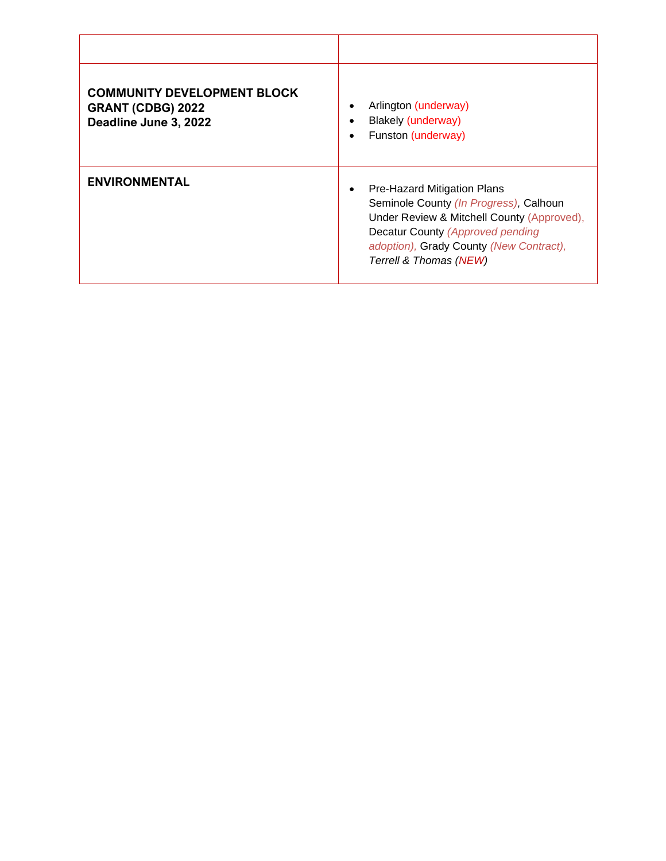| <b>COMMUNITY DEVELOPMENT BLOCK</b><br><b>GRANT (CDBG) 2022</b><br>Deadline June 3, 2022 | Arlington (underway)<br><b>Blakely (underway)</b><br>Funston (underway)<br>$\bullet$                                                                                                                                         |
|-----------------------------------------------------------------------------------------|------------------------------------------------------------------------------------------------------------------------------------------------------------------------------------------------------------------------------|
| <b>ENVIRONMENTAL</b>                                                                    | Pre-Hazard Mitigation Plans<br>Seminole County (In Progress), Calhoun<br>Under Review & Mitchell County (Approved),<br>Decatur County (Approved pending<br>adoption), Grady County (New Contract),<br>Terrell & Thomas (NEW) |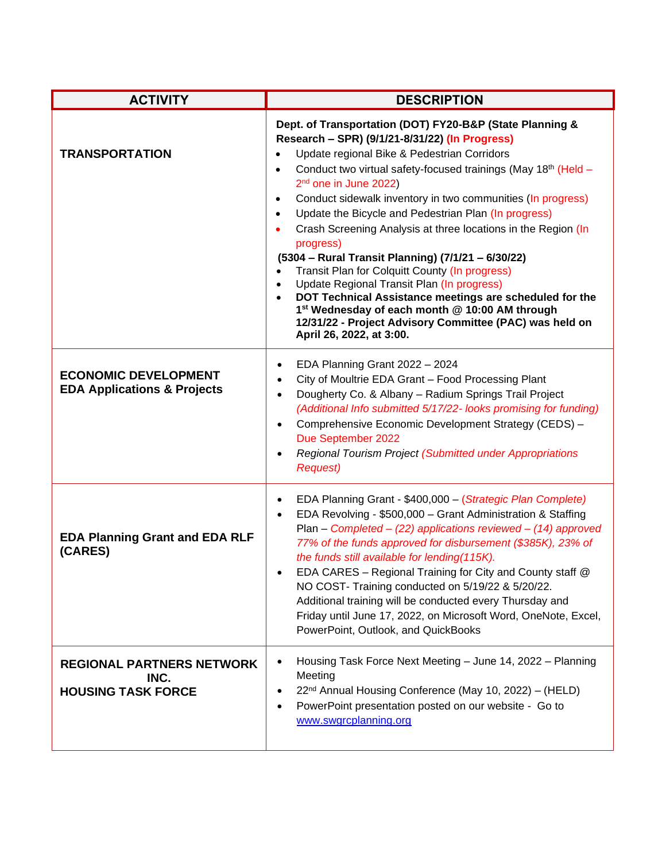| <b>ACTIVITY</b>                                                       | <b>DESCRIPTION</b>                                                                                                                                                                                                                                                                                                                                                                                                                                                                                                                                                                                                                                                                                                                                                                                                                                                                                                                     |
|-----------------------------------------------------------------------|----------------------------------------------------------------------------------------------------------------------------------------------------------------------------------------------------------------------------------------------------------------------------------------------------------------------------------------------------------------------------------------------------------------------------------------------------------------------------------------------------------------------------------------------------------------------------------------------------------------------------------------------------------------------------------------------------------------------------------------------------------------------------------------------------------------------------------------------------------------------------------------------------------------------------------------|
| <b>TRANSPORTATION</b>                                                 | Dept. of Transportation (DOT) FY20-B&P (State Planning &<br>Research - SPR) (9/1/21-8/31/22) (In Progress)<br>Update regional Bike & Pedestrian Corridors<br>$\bullet$<br>Conduct two virtual safety-focused trainings (May 18th (Held -<br>$\bullet$<br>2 <sup>nd</sup> one in June 2022)<br>Conduct sidewalk inventory in two communities (In progress)<br>$\bullet$<br>Update the Bicycle and Pedestrian Plan (In progress)<br>$\bullet$<br>Crash Screening Analysis at three locations in the Region (In<br>progress)<br>(5304 - Rural Transit Planning) (7/1/21 - 6/30/22)<br>Transit Plan for Colquitt County (In progress)<br>$\bullet$<br>Update Regional Transit Plan (In progress)<br>$\bullet$<br>DOT Technical Assistance meetings are scheduled for the<br>$\bullet$<br>1 <sup>st</sup> Wednesday of each month @ 10:00 AM through<br>12/31/22 - Project Advisory Committee (PAC) was held on<br>April 26, 2022, at 3:00. |
| <b>ECONOMIC DEVELOPMENT</b><br><b>EDA Applications &amp; Projects</b> | EDA Planning Grant 2022 - 2024<br>$\bullet$<br>City of Moultrie EDA Grant - Food Processing Plant<br>$\bullet$<br>Dougherty Co. & Albany - Radium Springs Trail Project<br>$\bullet$<br>(Additional Info submitted 5/17/22- looks promising for funding)<br>Comprehensive Economic Development Strategy (CEDS) -<br>$\bullet$<br>Due September 2022<br>Regional Tourism Project (Submitted under Appropriations<br>$\bullet$<br><b>Request)</b>                                                                                                                                                                                                                                                                                                                                                                                                                                                                                        |
| <b>EDA Planning Grant and EDA RLF</b><br>(CARES)                      | EDA Planning Grant - \$400,000 - (Strategic Plan Complete)<br>$\bullet$<br>EDA Revolving - \$500,000 - Grant Administration & Staffing<br>$\bullet$<br>Plan - Completed - $(22)$ applications reviewed - $(14)$ approved<br>77% of the funds approved for disbursement (\$385K), 23% of<br>the funds still available for lending(115K).<br>EDA CARES - Regional Training for City and County staff @<br>NO COST- Training conducted on 5/19/22 & 5/20/22.<br>Additional training will be conducted every Thursday and<br>Friday until June 17, 2022, on Microsoft Word, OneNote, Excel,<br>PowerPoint, Outlook, and QuickBooks                                                                                                                                                                                                                                                                                                         |
| <b>REGIONAL PARTNERS NETWORK</b><br>INC.<br><b>HOUSING TASK FORCE</b> | Housing Task Force Next Meeting - June 14, 2022 - Planning<br>$\bullet$<br>Meeting<br>22 <sup>nd</sup> Annual Housing Conference (May 10, 2022) - (HELD)<br>PowerPoint presentation posted on our website - Go to<br>www.swgrcplanning.org                                                                                                                                                                                                                                                                                                                                                                                                                                                                                                                                                                                                                                                                                             |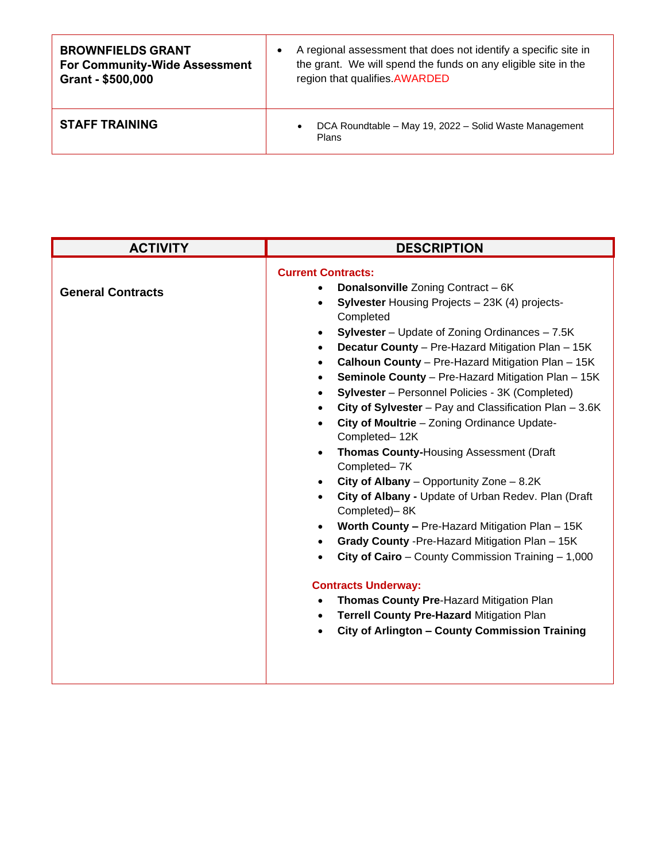| <b>BROWNFIELDS GRANT</b>             | A regional assessment that does not identify a specific site in              |
|--------------------------------------|------------------------------------------------------------------------------|
| <b>For Community-Wide Assessment</b> | the grant. We will spend the funds on any eligible site in the               |
| Grant - \$500,000                    | region that qualifies.AWARDED                                                |
| <b>STAFF TRAINING</b>                | DCA Roundtable - May 19, 2022 - Solid Waste Management<br>$\bullet$<br>Plans |

| <b>ACTIVITY</b>          | <b>DESCRIPTION</b>                                                                                                                                                                                                                                                                                                                                                                                                                                                                                                                                                                                                                                                                                                                                                                                                                                                                                                                                                                                                                                                                  |
|--------------------------|-------------------------------------------------------------------------------------------------------------------------------------------------------------------------------------------------------------------------------------------------------------------------------------------------------------------------------------------------------------------------------------------------------------------------------------------------------------------------------------------------------------------------------------------------------------------------------------------------------------------------------------------------------------------------------------------------------------------------------------------------------------------------------------------------------------------------------------------------------------------------------------------------------------------------------------------------------------------------------------------------------------------------------------------------------------------------------------|
| <b>General Contracts</b> | <b>Current Contracts:</b><br><b>Donalsonville Zoning Contract - 6K</b><br><b>Sylvester Housing Projects - 23K (4) projects-</b><br>Completed<br><b>Sylvester</b> – Update of Zoning Ordinances – 7.5K<br>Decatur County - Pre-Hazard Mitigation Plan - 15K<br>Calhoun County - Pre-Hazard Mitigation Plan - 15K<br>Seminole County - Pre-Hazard Mitigation Plan - 15K<br>Sylvester - Personnel Policies - 3K (Completed)<br>City of Sylvester - Pay and Classification Plan - 3.6K<br>City of Moultrie - Zoning Ordinance Update-<br>Completed-12K<br>Thomas County-Housing Assessment (Draft<br>Completed-7K<br>City of Albany - Opportunity Zone - 8.2K<br>City of Albany - Update of Urban Redev. Plan (Draft<br>Completed)-8K<br>Worth County - Pre-Hazard Mitigation Plan - 15K<br>Grady County - Pre-Hazard Mitigation Plan - 15K<br>City of Cairo - County Commission Training - 1,000<br><b>Contracts Underway:</b><br>Thomas County Pre-Hazard Mitigation Plan<br>$\bullet$<br>Terrell County Pre-Hazard Mitigation Plan<br>City of Arlington - County Commission Training |
|                          |                                                                                                                                                                                                                                                                                                                                                                                                                                                                                                                                                                                                                                                                                                                                                                                                                                                                                                                                                                                                                                                                                     |